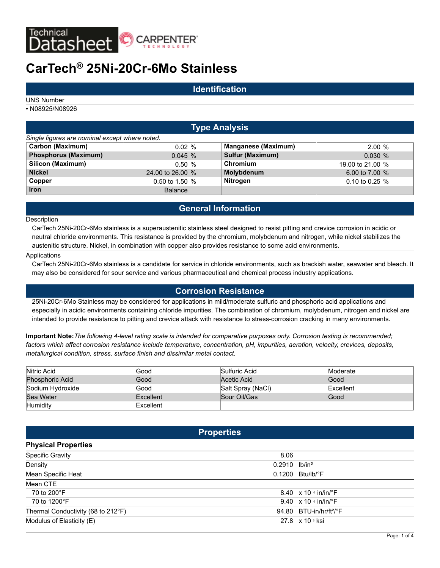

# **CarTech® 25Ni-20Cr-6Mo Stainless**

# **Identification**

UNS Number

• N08925/N08926

# **Type Analysis**

| Single figures are nominal except where noted. |                  |                            |                  |
|------------------------------------------------|------------------|----------------------------|------------------|
| Carbon (Maximum)                               | $0.02 \%$        | <b>Manganese (Maximum)</b> | 2.00%            |
| <b>Phosphorus (Maximum)</b>                    | 0.045%           | <b>Sulfur (Maximum)</b>    | 0.030%           |
| Silicon (Maximum)                              | 0.50%            | Chromium                   | 19.00 to 21.00 % |
| <b>Nickel</b>                                  | 24,00 to 26,00 % | <b>Molybdenum</b>          | 6.00 to $7.00\%$ |
| Copper                                         | 0.50 to 1.50 $%$ | <b>Nitrogen</b>            | 0.10 to 0.25 $%$ |
| <b>Iron</b>                                    | <b>Balance</b>   |                            |                  |

# **General Information**

#### **Description**

CarTech 25Ni-20Cr-6Mo stainless is a superaustenitic stainless steel designed to resist pitting and crevice corrosion in acidic or neutral chloride environments. This resistance is provided by the chromium, molybdenum and nitrogen, while nickel stabilizes the austenitic structure. Nickel, in combination with copper also provides resistance to some acid environments.

#### **Applications**

CarTech 25Ni-20Cr-6Mo stainless is a candidate for service in chloride environments, such as brackish water, seawater and bleach. It may also be considered for sour service and various pharmaceutical and chemical process industry applications.

### **Corrosion Resistance**

25Ni-20Cr-6Mo Stainless may be considered for applications in mild/moderate sulfuric and phosphoric acid applications and especially in acidic environments containing chloride impurities. The combination of chromium, molybdenum, nitrogen and nickel are intended to provide resistance to pitting and crevice attack with resistance to stress-corrosion cracking in many environments.

**Important Note:***The following 4-level rating scale is intended for comparative purposes only. Corrosion testing is recommended; factors which affect corrosion resistance include temperature, concentration, pH, impurities, aeration, velocity, crevices, deposits, metallurgical condition, stress, surface finish and dissimilar metal contact.*

| Nitric Acid            | Good      | Sulfuric Acid     | Moderate  |
|------------------------|-----------|-------------------|-----------|
| <b>Phosphoric Acid</b> | Good      | Acetic Acid       | Good      |
| Sodium Hydroxide       | Good      | Salt Spray (NaCl) | Excellent |
| Sea Water              | Excellent | Sour Oil/Gas      | Good      |
| Humidity               | Excellent |                   |           |

### **Properties**

| <b>Physical Properties</b>         |                                           |  |
|------------------------------------|-------------------------------------------|--|
| <b>Specific Gravity</b>            | 8.06                                      |  |
| Density                            | $lb/in^3$<br>0.2910                       |  |
| Mean Specific Heat                 | Btu/lb/°F<br>0.1200                       |  |
| Mean CTE                           |                                           |  |
| 70 to 200°F                        | 8.40 $\times$ 10 $\cdot$ in/in/ $\cdot$ F |  |
| 70 to 1200°F                       | 9.40 $\times$ 10 $\cdot$ in/in/ $\cdot$ F |  |
| Thermal Conductivity (68 to 212°F) | $94.80$ BTU-in/hr/ft <sup>2</sup> /°F     |  |
| Modulus of Elasticity (E)          | $27.8 \times 10^{3}$ ksi                  |  |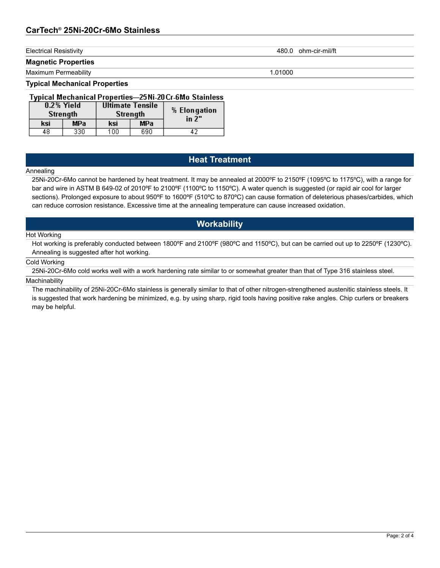# **CarTech® 25Ni-20Cr-6Mo Stainless**

**Magnetic Properties**

Maximum Permeability 1.01000

#### **Typical Mechanical Properties**

### Typical Mechanical Properties-25Ni-20Cr-6Mo Stainless

|     | 0.2% Yield<br>Strength | <b>Ultimate Tensile</b><br>Strength<br><b>MPa</b><br>ksi |     | % Elongation<br>in 2" |
|-----|------------------------|----------------------------------------------------------|-----|-----------------------|
| ksi | <b>MPa</b>             |                                                          |     |                       |
| 48  | 330                    | 100                                                      | 690 |                       |

# **Heat Treatment**

#### Annealing

25Ni-20Cr-6Mo cannot be hardened by heat treatment. It may be annealed at 2000ºF to 2150ºF (1095ºC to 1175ºC), with a range for bar and wire in ASTM B 649-02 of 2010ºF to 2100ºF (1100ºC to 1150ºC). A water quench is suggested (or rapid air cool for larger sections). Prolonged exposure to about 950°F to 1600°F (510°C to 870°C) can cause formation of deleterious phases/carbides, which can reduce corrosion resistance. Excessive time at the annealing temperature can cause increased oxidation.

# **Workability**

#### Hot Working

Hot working is preferably conducted between 1800ºF and 2100ºF (980ºC and 1150ºC), but can be carried out up to 2250ºF (1230ºC). Annealing is suggested after hot working.

### Cold Working

25Ni-20Cr-6Mo cold works well with a work hardening rate similar to or somewhat greater than that of Type 316 stainless steel. **Machinability** 

The machinability of 25Ni-20Cr-6Mo stainless is generally similar to that of other nitrogen-strengthened austenitic stainless steels. It is suggested that work hardening be minimized, e.g. by using sharp, rigid tools having positive rake angles. Chip curlers or breakers may be helpful.

Electrical Resistivity 480.0 ohm-cir-mil/ft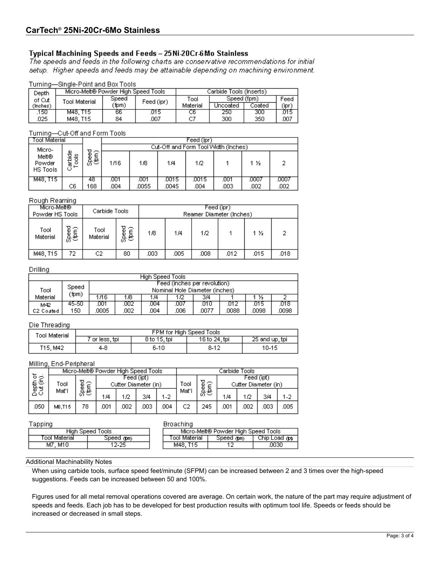### Typical Machining Speeds and Feeds - 25Ni-20Cr-6Mo Stainless

The speeds and feeds in the following charts are conservative recommendations for initial setup. Higher speeds and feeds may be attainable depending on machining environment.

#### Turning-Single-Point and Box Tools

| Depth     | Micro-Melt® Powder High Speed Tools |       |            |          | Carbide Tools (Inserts) |        |       |
|-----------|-------------------------------------|-------|------------|----------|-------------------------|--------|-------|
| of Cut    | Tool Material                       | Speed | Feed (ipr) | Tool     | Speed (fpm)             |        | Feed  |
| (Inches). |                                     | (fpm) |            | Material | Uncoated                | Coated | (ipri |
| .150      | M48. T15                            | 66    | O15        | UБ       | 250                     | 300    | O15   |
| 025       | M48. T15                            | 84    | 007        |          | 300                     | 350    | 007   |

#### Turning-Cut-Off and Form Tools

| Tool Material               |                                 |                     | Feed (ipr) |                                      |       |       |      |       |      |  |  |
|-----------------------------|---------------------------------|---------------------|------------|--------------------------------------|-------|-------|------|-------|------|--|--|
| Micro-                      |                                 |                     |            | Cut-Off and Form Tool Width (Inches) |       |       |      |       |      |  |  |
| Melt®<br>Powder<br>HS Tools | arbide<br>Tools<br>$\mathbf{H}$ | □⌒<br>န်မြေ<br>မြန် | 1/16       | 1/8                                  | 1/4   | 1/2   |      | 1 ½   | ີ    |  |  |
| M48, T15                    |                                 | 48                  | .001       | .001                                 | .0015 | .0015 | .001 | .0007 | ,000 |  |  |
|                             | C6                              | 68                  | .004       | .0055                                | .0045 | .004  | .003 | .002  | .002 |  |  |

#### Rough Reaming

| Micro-Melt®<br>Powder HS Tools |             | Carbide Tools    |            |      |      | Feed (ipr)<br>Reamer Diameter (Inches) |      |      |      |
|--------------------------------|-------------|------------------|------------|------|------|----------------------------------------|------|------|------|
| Tool<br>Material               | င်း<br>မြင် | Tool<br>Material | Speed<br>ê | 1/8  | 1/4  | 1/2                                    |      | 1 ½  | o    |
| M48, T15                       | 72          | C2               | 80         | .003 | .005 | .008                                   | .012 | .015 | .018 |

#### Drilling

|           | High Speed Tools |                              |                                |     |      |       |       |       |       |  |
|-----------|------------------|------------------------------|--------------------------------|-----|------|-------|-------|-------|-------|--|
|           | Speed            | Feed (inches per revolution) |                                |     |      |       |       |       |       |  |
| Tool      |                  |                              | Nominal Hole Diameter (inches) |     |      |       |       |       |       |  |
| Material  | (fpm)            | 1/16                         | 1/8                            | 1/4 | 1/2  | 3/4   |       | 16    |       |  |
| M42       | 45-50            | 001                          | 882                            | 004 | .007 | .010  | 012   | O15   | .018  |  |
| C2 Coated | 150              | 0005                         | 002                            | 004 | .006 | .0077 | .0088 | .0098 | .0098 |  |

#### Die Threading

| Tool Material |               | FPM for High Speed Tools |               |                |
|---------------|---------------|--------------------------|---------------|----------------|
|               | for less, tpi | 8 to 15, tpi             | 16 to 24, tpi | 25 and up, tpi |
| T15, M42      | 4-8           | 6-10                     | $8-12$        | 10-15          |

#### Milling, End-Peripheral

|                       |        | Micro-Melt® Powder High Speed Tools |     |      |                                    |         |                |       |      | Carbide Tools                      |      |         |
|-----------------------|--------|-------------------------------------|-----|------|------------------------------------|---------|----------------|-------|------|------------------------------------|------|---------|
| চি∄<br>もも<br>こと<br>ロー | Tool   | ੁ                                   |     |      | Feed (ipt)<br>Cutter Diameter (in) |         | Tool           | Speed |      | Feed (ipt)<br>Cutter Diameter (in) |      |         |
|                       | Mat'l  | ာ<br>မြင်                           | 1/4 | 1/2  | 3/4                                | $1 - 2$ | Mat'l          | 통     | 1/4  | 1/2                                | 3/4  | $1 - 2$ |
| .050                  | M8.T15 | 78.                                 | 001 | .002 | 003                                | .004    | C <sub>2</sub> | 245   | .001 | .002                               | .003 | 005     |

#### Tapping

| <b>Broaching</b> |  |
|------------------|--|
|                  |  |

| <u>P.I.ISI</u>              | ---------                                    |  |
|-----------------------------|----------------------------------------------|--|
| High Speed Tools            | Micro-Melt® Powder High Speed Tools          |  |
| Tool Material<br>Speed noon | Chip Load not<br>⊺ool Material<br>Speed @tm) |  |
| $2 - 25$<br>M7, M10         | .0030<br>M48. T15                            |  |

#### Additional Machinability Notes

When using carbide tools, surface speed feet/minute (SFPM) can be increased between 2 and 3 times over the high-speed suggestions. Feeds can be increased between 50 and 100%.

Figures used for all metal removal operations covered are average. On certain work, the nature of the part may require adjustment of speeds and feeds. Each job has to be developed for best production results with optimum tool life. Speeds or feeds should be increased or decreased in small steps.